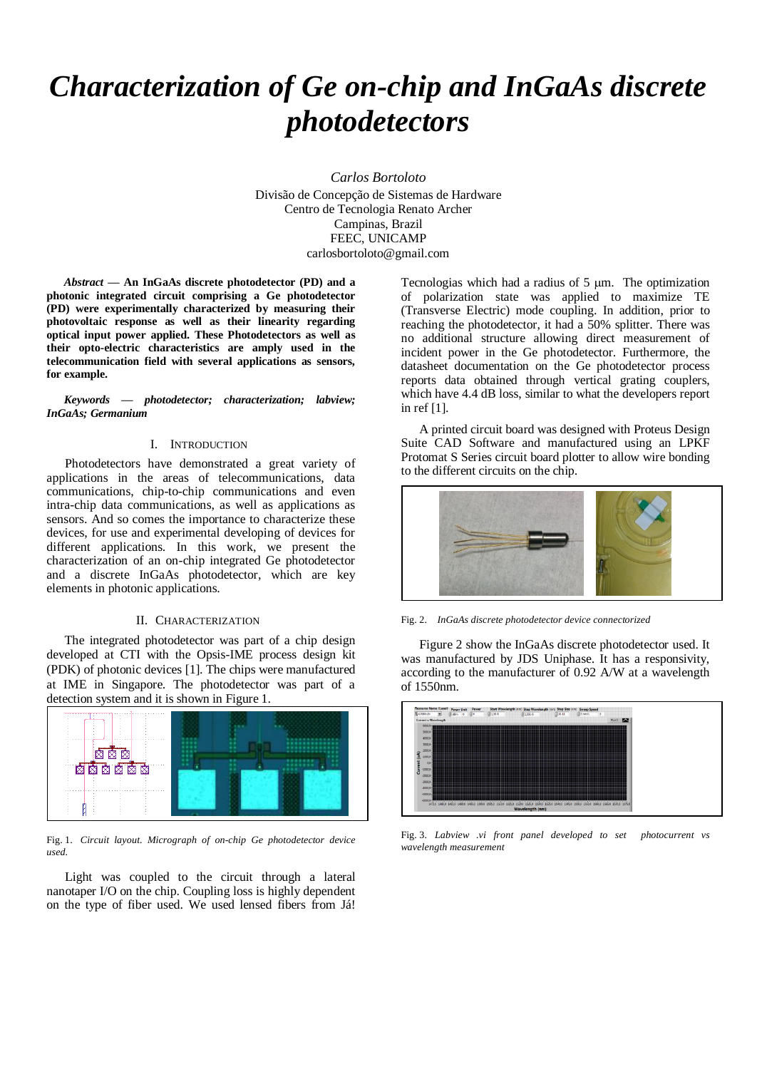# *Characterization of Ge on-chip and InGaAs discrete photodetectors*

*Carlos Bortoloto* Divisão de Concepção de Sistemas de Hardware Centro de Tecnologia Renato Archer Campinas, Brazil FEEC, UNICAMP carlosbortoloto@gmail.com

*Abstract* **— An InGaAs discrete photodetector (PD) and a photonic integrated circuit comprising a Ge photodetector (PD) were experimentally characterized by measuring their photovoltaic response as well as their linearity regarding optical input power applied. These Photodetectors as well as their opto-electric characteristics are amply used in the telecommunication field with several applications as sensors, for example.**

*Keywords — photodetector; characterization; labview; InGaAs; Germanium*

#### I. INTRODUCTION

Photodetectors have demonstrated a great variety of applications in the areas of telecommunications, data communications, chip-to-chip communications and even intra-chip data communications, as well as applications as sensors. And so comes the importance to characterize these devices, for use and experimental developing of devices for different applications. In this work, we present the characterization of an on-chip integrated Ge photodetector and a discrete InGaAs photodetector, which are key elements in photonic applications.

#### II. CHARACTERIZATION

The integrated photodetector was part of a chip design developed at CTI with the Opsis-IME process design kit (PDK) of photonic devices [1]. The chips were manufactured at IME in Singapore. The photodetector was part of a detection system and it is shown in Figure 1.



Fig. 1. *Circuit layout. Micrograph of on-chip Ge photodetector device used.*

Light was coupled to the circuit through a lateral nanotaper I/O on the chip. Coupling loss is highly dependent on the type of fiber used. We used lensed fibers from Já!

Tecnologias which had a radius of  $5 \mu m$ . The optimization of polarization state was applied to maximize TE (Transverse Electric) mode coupling. In addition, prior to reaching the photodetector, it had a 50% splitter. There was no additional structure allowing direct measurement of incident power in the Ge photodetector. Furthermore, the datasheet documentation on the Ge photodetector process reports data obtained through vertical grating couplers, which have 4.4 dB loss, similar to what the developers report in ref [1].

A printed circuit board was designed with Proteus Design Suite CAD Software and manufactured using an LPKF Protomat S Series circuit board plotter to allow wire bonding to the different circuits on the chip.



Fig. 2. *InGaAs discrete photodetector device connectorized*

Figure 2 show the InGaAs discrete photodetector used. It was manufactured by JDS Uniphase. It has a responsivity, according to the manufacturer of 0.92 A/W at a wavelength of 1550nm.



Fig. 3. *Labview .vi front panel developed to set photocurrent vs wavelength measurement*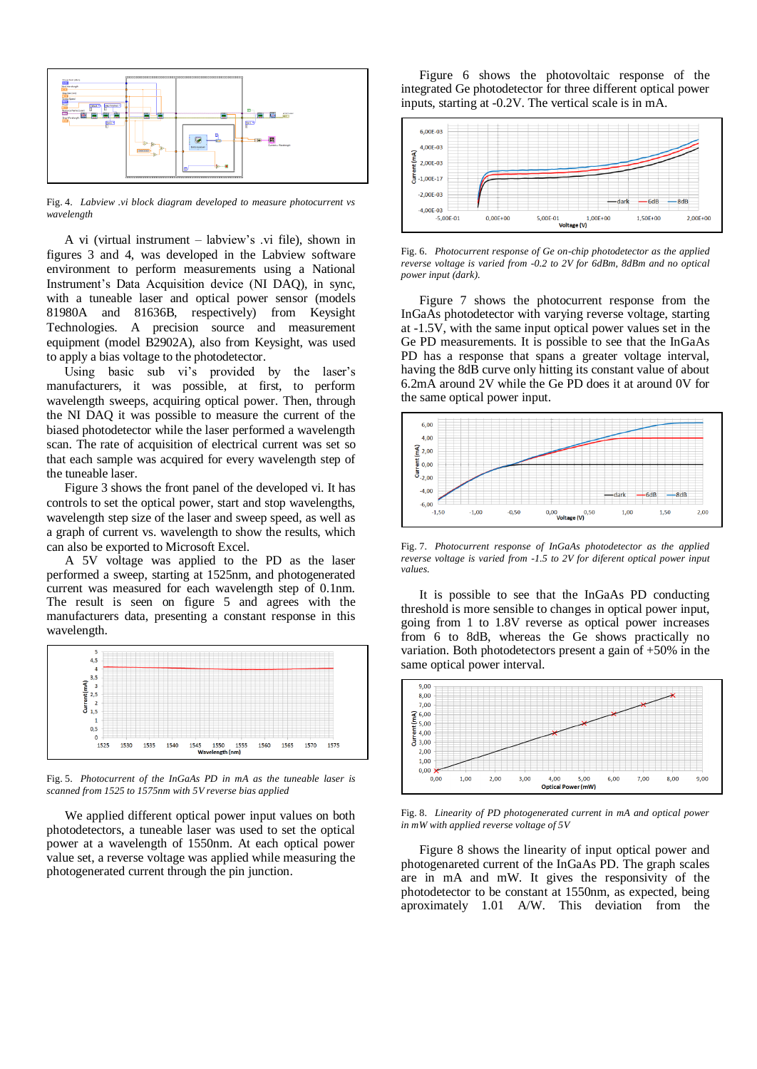

Fig. 4. *Labview .vi block diagram developed to measure photocurrent vs wavelength*

A vi (virtual instrument – labview's .vi file), shown in figures 3 and 4, was developed in the Labview software environment to perform measurements using a National Instrument's Data Acquisition device (NI DAQ), in sync, with a tuneable laser and optical power sensor (models 81980A and 81636B, respectively) from Keysight Technologies. A precision source and measurement equipment (model B2902A), also from Keysight, was used to apply a bias voltage to the photodetector.

Using basic sub vi's provided by the laser's manufacturers, it was possible, at first, to perform wavelength sweeps, acquiring optical power. Then, through the NI DAQ it was possible to measure the current of the biased photodetector while the laser performed a wavelength scan. The rate of acquisition of electrical current was set so that each sample was acquired for every wavelength step of the tuneable laser.

Figure 3 shows the front panel of the developed vi. It has controls to set the optical power, start and stop wavelengths, wavelength step size of the laser and sweep speed, as well as a graph of current vs. wavelength to show the results, which can also be exported to Microsoft Excel.

A 5V voltage was applied to the PD as the laser performed a sweep, starting at 1525nm, and photogenerated current was measured for each wavelength step of 0.1nm. The result is seen on figure 5 and agrees with the manufacturers data, presenting a constant response in this wavelength.



Fig. 5. *Photocurrent of the InGaAs PD in mA as the tuneable laser is scanned from 1525 to 1575nm with 5V reverse bias applied*

We applied different optical power input values on both photodetectors, a tuneable laser was used to set the optical power at a wavelength of 1550nm. At each optical power value set, a reverse voltage was applied while measuring the photogenerated current through the pin junction.

Figure 6 shows the photovoltaic response of the integrated Ge photodetector for three different optical power inputs, starting at -0.2V. The vertical scale is in mA.



Fig. 6. *Photocurrent response of Ge on-chip photodetector as the applied reverse voltage is varied from -0.2 to 2V for 6dBm, 8dBm and no optical power input (dark).*

Figure 7 shows the photocurrent response from the InGaAs photodetector with varying reverse voltage, starting at -1.5V, with the same input optical power values set in the Ge PD measurements. It is possible to see that the InGaAs PD has a response that spans a greater voltage interval, having the 8dB curve only hitting its constant value of about 6.2mA around 2V while the Ge PD does it at around 0V for the same optical power input.



Fig. 7. *Photocurrent response of InGaAs photodetector as the applied reverse voltage is varied from -1.5 to 2V for diferent optical power input values.*

It is possible to see that the InGaAs PD conducting threshold is more sensible to changes in optical power input, going from 1 to 1.8V reverse as optical power increases from 6 to 8dB, whereas the Ge shows practically no variation. Both photodetectors present a gain of +50% in the same optical power interval.



Fig. 8. *Linearity of PD photogenerated current in mA and optical power in mW with applied reverse voltage of 5V*

Figure 8 shows the linearity of input optical power and photogenareted current of the InGaAs PD. The graph scales are in mA and mW. It gives the responsivity of the photodetector to be constant at 1550nm, as expected, being aproximately 1.01 A/W. This deviation from the